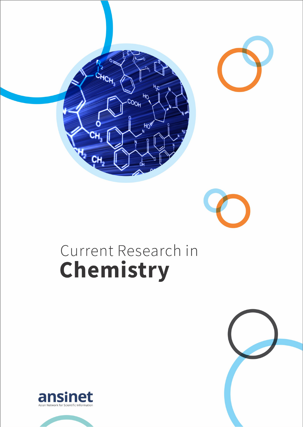

# Current Research in Chemistry



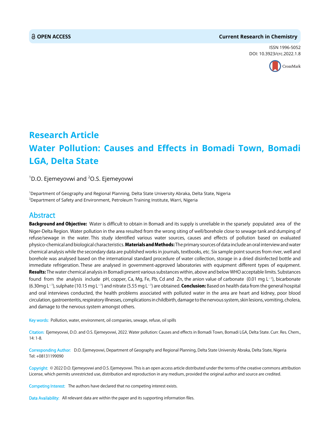#### **OPEN ACCESS Current Research in Chemistry**

ISSN 1996-5052 DOI: 10.3923/crc.2022.1.8



## **Research Article Water Pollution: Causes and Effects in Bomadi Town, Bomadi LGA, Delta State**

 $^{1}$ D.O. Ejemeyovwi and  $^{2}$ O.S. Ejemeyovwi

1 Department of Geography and Regional Planning, Delta State University Abraka, Delta State, Nigeria  $^2$ Department of Safety and Environment, Petroleum Training Institute, Warri, Nigeria

### Abstract

Background and Objective: Water is difficult to obtain in Bomadi and its supply is unreliable in the sparsely populated area of the Niger-Delta Region. Water pollution in the area resulted from the wrong siting of well/borehole close to sewage tank and dumping of refuse/sewage in the water. This study identified various water sources, causes and effects of pollution based on evaluated physico-chemical and biological characteristics. Materials and Methods: The primary sources of data include an oral interview and water chemical analysis while the secondary data are published works in journals, textbooks, etc. Six sample point sources from river, well and borehole was analysed based on the international standard procedure of water collection, storage in a dried disinfected bottle and immediate refrigeration. These are analysed in government-approved laboratories with equipment different types of equipment. Results: The water chemical analysis in Bomadi present various substances within, above and below WHO acceptable limits. Substances found from the analysis include pH, copper, Ca, Mg, Fe, Pb, Cd and Zn, the anion value of carbonate  $(0.01 \text{ mg L}^{-1})$ , bicarbonate (6.30mg L<sup>-1</sup>), sulphate (10.15 mg L<sup>-1</sup>) and nitrate (5.55 mg L<sup>-1</sup>) are obtained. **Conclusion:** Based on health data from the general hospital and oral interviews conducted, the health problems associated with polluted water in the area are heart and kidney, poor blood circulation, gastroenteritis, respiratory illnesses, complications in childbirth, damage to the nervous system, skin lesions, vomiting, cholera, and damage to the nervous system amongst others.

Key words: Pollution, water, environment, oil companies, sewage, refuse, oil spills

Citation: Ejemeyovwi, D.O. and O.S. Ejemeyovwi, 2022. Water pollution: Causes and effects in Bomadi Town, Bomadi LGA, Delta State. Curr. Res. Chem., 14: 1-8.

Corresponding Author: D.O. Ejemeyovwi, Department of Geography and Regional Planning, Delta State University Abraka, Delta State, Nigeria Tel: +08131199090

Copyright: © 2022 D.O. Ejemeyovwi and O.S. Ejemeyovwi. This is an open access article distributed under the terms of the creative commons attribution License, which permits unrestricted use, distribution and reproduction in any medium, provided the original author and source are credited.

Competing Interest: The authors have declared that no competing interest exists.

Data Availability: All relevant data are within the paper and its supporting information files.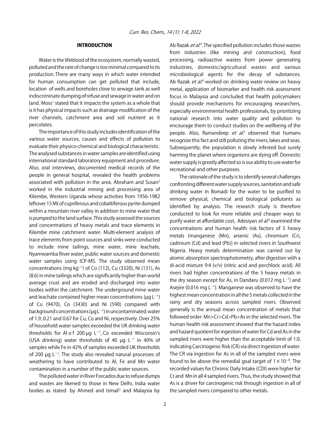#### INTRODUCTION

Water is the lifeblood of the ecosystem, normally wasted, polluted and the rate of change is too minimal compared to its production. There are many ways in which water intended for human consumption can get polluted that include, location of wells and boreholes close to sewage tank as well indiscriminate dumping of refuse and sewage in water and on land. Moss<sup>1</sup> stated that it impacts the system as a whole that is it has physical impacts such as drainage modification of the river channels, catchment area and soil nutrient as it percolates.

The importance of this study includes identification of the various water sources, causes and effects of pollution to evaluate their physico-chemical and biological characteristic. The analysed substances in water samples are identified using international standard laboratory equipment and procedure. Also, oral interviews, documented medical records of the people in general hospital, revealed the health problems associated with pollution in the area. Abraham and Susan<sup>2</sup> worked in the industrial mining and processing area of Kilembe, Western Uganda whose activities from 1956-1982 leftover 15 Mt of cupriferous and cobaltiferous pyrite dumped within a mountain river valley in addition to mine water that is pumped to the land surface. This study assessed the sources and concentrations of heavy metals and trace elements in Kilembe mine catchment water. Multi-element analysis of trace elements from point sources and sinks were conducted to include mine tailings, mine water, mine leachate, Nyamwamba River water, public water sources and domestic water samples using ICP-MS. The study observed mean concentrations (mg kg<sup>-1</sup>) of Co (112), Cu (3320), Ni (131), As (8.6) in mine tailings which are significantly higher than world average crust and are eroded and discharged into water bodies within the catchment. The underground mine water and leachate contained higher mean concentrations ( $\mu$ g L<sup>-1</sup>) of Cu (9470), Co (3430) and Ni (590) compared with background concentrations ( $\mu$ g L<sup>-1</sup>) in uncontaminated water of 1.9, 0.21 and 0.67 for Cu, Co and Ni, respectively. Over 25% of household water samples exceeded the UK drinking water thresholds for Al o f 200  $\mu$ g L<sup>-1</sup>, Co exceeded Wisconsin's (USA drinking) water thresholds of 40  $\mu$ g L<sup>-1</sup> in 40% of samples while Fe in 42% of samples exceeded UK thresholds of 200  $\mu$ g L<sup>-1</sup>. The study also revealed natural processes of weathering to have contributed to Al, Fe and Mn water contamination in a number of the public water sources.

The polluted water in River Forcados due to refuse dumps and wastes are likened to those in New Delhi, India water bodies as stated by Ahmed and Ismail<sup>3</sup> and Malaysia by

Ab Razak *et al*.<sup>4</sup>. The specified pollution includes those wastes from industries (like mining and construction), food processing, radioactive wastes from power generating industries, domestic/agricultural wastes and various microbiological agents for the decay of substances. Ab Razak *et al*.<sup>4</sup> worked on drinking water review on heavy metal, application of biomarker and health risk assessment focus in Malaysia and concluded that health policymakers should provide mechanisms for encouraging researchers, especially environmental health professionals, by prioritizing national research into water quality and pollution to encourage them to conduct studies on the wellbeing of the people. Also, Ramandeep *et al*.<sup>5</sup> observed that humans recognize this fact and still polluting the rivers, lakes and seas. Subsequently, the population is slowly infested but surely harming the planet where organisms are dying off. Domestic water supply is greatly affected so is our ability to use water for recreational and other purposes.

The rationale of the study is to identify several challenges confronting different water supply sources, sanitation and safe drinking water in Bomadi for the water to be purified to remove physical, chemical and biological pollutants as identified by analysis. The research study is therefore conducted to look for more reliable and cheaper ways to purify water at affordable cost, Adesiyan *et al*.<sup>6</sup> examined the concentrations and human health risk factors of 5 heavy metals (manganese (Mn), arsenic (As), chromium (Cr), cadmium (Cd) and lead (Pb)) in selected rivers in Southwest Nigeria. Heavy metals determination was carried out by atomic absorption spectrophotometry, after digestion with a di-acid mixture 9:4 (v/v) (nitric acid and perchloric acid). All rivers had higher concentrations of the 5 heavy metals in the dry season except for As, in Dandaru (0.012 mg  $L^{-1}$ ) and Asejire (0.016 mg  $L^{-1}$ ). Manganese was observed to have the highest mean concentration in all the 5 metals collected in the rainy and dry seasons across sampled rivers. Observed generally is the annual mean concentration of metals that followed order: Mn>Cr>Cd>Pb>As in the selected rivers. The human health risk assessment showed that the hazard index and hazard quotient for ingestion of water for Cd and As in the sampled rivers were higher than the acceptable limit of 1.0, indicating Carcinogenic Risk (CR) via direct ingestion of water. The CR via ingestion for As in all of the sampled rivers were found to be above the remedial goal target of  $1 \times 10^{-6}$ . The recorded values for Chronic Daily Intake (CDI) were higher for Cr and Mn in all 4 sampled rivers. Thus, the study showed that As is a driver for carcinogenic risk through ingestion in all of the sampled rivers compared to other metals.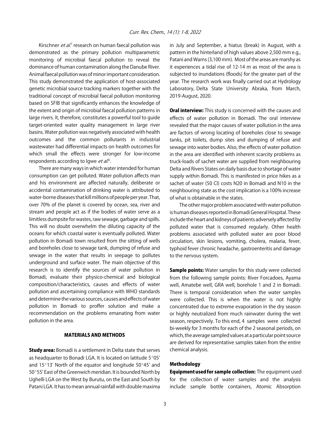Kirschner *et al*.<sup>7</sup> research on human faecal pollution was demonstrated as the primary pollution multiparametric monitoring of microbial faecal pollution to reveal the dominance of human contamination along the Danube River. Animal faecal pollution was of minor important consideration. This study demonstrated the application of host-associated genetic microbial source tracking markers together with the traditional concept of microbial faecal pollution monitoring based on SFIB that significantly enhances the knowledge of the extent and origin of microbial faecal pollution patterns in large rivers. It, therefore, constitutes a powerful tool to guide target-oriented water quality management in large river basins. Water pollution was negatively associated with health outcomes and the common pollutants in industrial wastewater had differential impacts on health outcomes for which small the effects were stronger for low-income respondents according to lgwe et al.<sup>8</sup>.

There are many ways in which water intended for human consumption can get polluted. Water pollution affects man and his environment are affected naturally, deliberate or accidental contamination of drinking water is attributed to water-borne diseases that kill millions of people per year. That, over 70% of the planet is covered by ocean, sea, river and stream and people act as if the bodies of water serve as a limitless dumpsite for wastes, raw sewage, garbage and spills. This will no doubt overwhelm the diluting capacity of the oceans for which coastal water is eventually polluted. Water pollution in Bomadi town resulted from the sitting of wells and boreholes close to sewage tank, dumping of refuse and sewage in the water that results in seepage to pollutes underground and surface water. The main objective of this research is to identify the sources of water pollution in Bomadi, evaluate their physico-chemical and biological composition/characteristics, causes and effects of water pollution and ascertaining compliance with WHO standards and determine the various sources, causes and effects of water pollution in Bomadi to proffer solution and make a recommendation on the problems emanating from water pollution in the area.

#### MATERIALS AND METHODS

**Study area:** Bomadi is a settlement in Delta state that serves as headquarter to Bonadi LGA. It is located on latitude 5°05' and  $15^{\circ}13'$  North of the equator and longitude  $50^{\circ}45'$  and 50°55' East of the Greenwich meridian. It is bounded North by Ughelli LGA on the West by Burutu, on the East and South by Patani LGA. It has to mean annual rainfall with double maxima

in July and September, a hiatus (break) in August, with a pattern in the hinterland of high values above 2,500 mm e.g., Patani and Warns (3,100 mm). Most of the areas are marshy as it experiences a tidal rise of 12-14 m as most of the area is subjected to inundations (floods) for the greater part of the year. The research work was finally carried out at Hydrology Laboratory, Delta State University Abraka, from March, 2019-August, 2020.

**Oral interview:** This study is concerned with the causes and effects of water pollution in Bomadi. The oral interview revealed that the major causes of water pollution in the area are factors of wrong locating of boreholes close to sewage tanks, pit toilets, dump sites and dumping of refuse and sewage into water bodies. Also, the effects of water pollution in the area are identified with inherent scarcity problems as truck-loads of sachet water are supplied from neighbouring Delta and Rivers States on daily basis due to shortage of water supply within Bomadi. This is manifested in price hikes as a sachet of water (50 Cl) costs N20 in Bomadi and N10 in the neighbouring state as the cost implication is a 100% increase of what is obtainable in the states.

The other major problem associated with water pollution is human diseases reported in Bomadi General Hospital. These include the heart and kidneys of patients adversely affected by polluted water that is consumed regularly. Other health problems associated with polluted water are poor blood circulation, skin lesions, vomiting, cholera, malaria, fever, typhoid fever chronic headache, gastroenteritis and damage to the nervous system.

**Sample points:** Water samples for this study were collected from the following sample points: River Forcadoes, Ayama well, Amatebe well, GRA well, borehole 1 and 2 in Bomadi. There is temporal consideration when the water samples were collected. This is when the water is not highly concentrated due to extreme evaporation in the dry season or highly neutralized from much rainwater during the wet season, respectively. To this end, 4 samples were collected bi-weekly for 3 months for each of the 2 seasonal periods, on which, the average sampled values at a particular point source are derived for representative samples taken from the entire chemical analysis.

#### Methodology

Equipment used for sample collection: The equipment used for the collection of water samples and the analysis include sample bottle containers, Atomic Absorption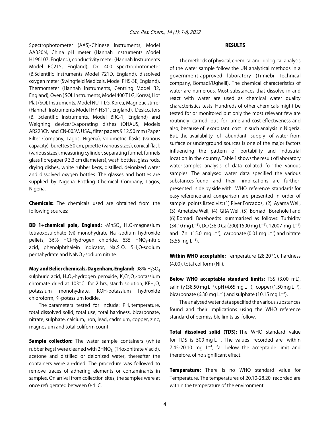Spectrophotometer (AAS)-Chinese Instruments, Model AA320N, China pH meter (Hannah Instruments Model H196107, England), conductivity meter (Hannah Instruments Model EC215, England), Dr. 400 spectrophotometer (B.Scientific Instruments Model 721D, England), dissolved oxygen meter (Swingfield Medicals, Model PHS-3E, England), Thermometer (Hannah Instruments, Centring Model B2, England), Oven ( SOL Instruments, Model 400 T LG, Korea), Hot Plat (SOL Instruments, Model NU-1 LG, Korea, Magnetic stirrer (Hannah Instruments Model HY-HS11, England), Desiccators (B. Scientific Instruments, Model BRC-1, England) and Weighing device/Evaporating dishes (OHAUS, Models AR223CN and CN-003V, USA., filter papers 9 12.50 mm (Paper Filter Company, Lagos, Nigeria), volumetric flasks (various capacity), burettes 50 cm, pipette (various sizes), conical flask (various sizes), measuring cylinder, separating funnel, funnels glass fibrepaper 9 3.3 cm diameters), wash bottles, glass rods, drying dishes, white rubber kegs, distilled, deionized water and dissolved oxygen bottles. The glasses and bottles are supplied by Nigeria Bottling Chemical Company, Lagos, Nigeria.

**Chemicals:** The chemicals used are obtained from the following sources:

**BD 1+chemical pole, England:** -MnSO<sub>4</sub> H<sub>2</sub>O-magnesium tetraoxosulphate (vi) monohydrate Na+-sodium hydroxide pellets, 36% HCl-Hydrogen chloride, 635 HNO<sub>3</sub>-nitric acid, phenolphthalein indicator,  $Na<sub>2</sub>S<sub>2</sub>O<sub>3</sub>$  5H<sub>2</sub>O-sodium pentahydrate and NaNO<sub>3</sub>-sodium nitrite.

May and Belier chemicals, Dagenham, England: -98%  $H_2SO_4$ sulphuric acid, H<sub>2</sub>O<sub>2</sub>-hydrogen peroxide, K<sub>2</sub>Cr<sub>2</sub>O<sub>7</sub>-potassium chromate dried at 103 $^{\circ}$ C for 2 hrs, starch solution, KFH<sub>2</sub>O, potassium monohydrate, KOH-potassium hydroxide chloroform, KI-potassium Iodide.

The parameters tested for include: PH, temperature, total dissolved solid, total use, total hardness, bicarbonate, nitrate, sulphate, calcium, iron, lead, cadmium, copper, zinc, magnesium and total coliform count.

**Sample collection:** The water sample containers (white rubber kegs) were cleaned with 2HNO<sub>3</sub>, (Trioxonitrate V acid), acetone and distilled or deionized water, thereafter the containers were air-dried. The procedure was followed to remove traces of adhering elements or contaminants in samples. On arrival from collection sites, the samples were at once refrigerated between 0-4°C.

#### **RESULTS**

The methods of physical, chemical and biological analysis of the water sample follow the UN analytical methods in a government-approved laboratory (Timiebi Technical company, Bomadi/Ughelli). The chemical characteristics of water are numerous. Most substances that dissolve in and react with water are used as chemical water quality characteristics tests. Hundreds of other chemicals might be tested for or monitored but only the most relevant few are routinely carried out for time and cost-effectiveness and also, because of exorbitant cost in such analysis in Nigeria. But, the availability of abundant supply of water from surface or underground sources is one of the major factors influencing the pattern of portability and industrial location in the country. Table 1 shows the result of laboratory water samples analysis of data collated fo r the various samples. The analysed water data specified the various substances found and their implications are further presented side by side with WHO reference standards for easy reference and comparison are presented in order of sample points listed viz: (1) River Forcados, (2) Ayama Well, (3) Ametebe Well, (4) GRA Well, (5) Bomadi Borehole I and (6) Bomadi Borehoedts summarised as follows: Turbidity  $(34.10 \text{ mg L}^{-1})$ , DO  $(38.0 \text{ Ca } (200) 1500 \text{ mg L}^{-1})$ , 12007 mg L<sup>-1</sup>) and Zn (15.0 mg L<sup>-1</sup>), carbonate (0.01 mg L<sup>-1</sup>) and nitrate  $(5.55 \text{ mg L}^{-1}).$ 

Within WHO acceptable: Temperature (28.20°C), hardness (4.00), total coliform (Nil).

Below WHO acceptable standard limits: TSS (3.00 mL), salinity (38.50 mg L<sup>-1</sup>), pH (4.65 mg L<sup>-1</sup>), copper (1.50 mg L<sup>-1</sup>), bicarbonate (6.30 mg L<sup>-1</sup>) and sulphate (10.15 mg L<sup>-1</sup>).

The analysed water data specified the various substances found and their implications using the WHO reference standard of permissible limits as follow.

Total dissolved solid (TDS): The WHO standard value for TDS is 500 mg  $L^{-1}$ . The values recorded are within 7.45-20.10 mg  $L^{-1}$ , far below the acceptable limit and therefore, of no significant effect.

Temperature: There is no WHO standard value for Temperature, The temperatures of 20.10-28.20 recorded are within the temperature of the environment.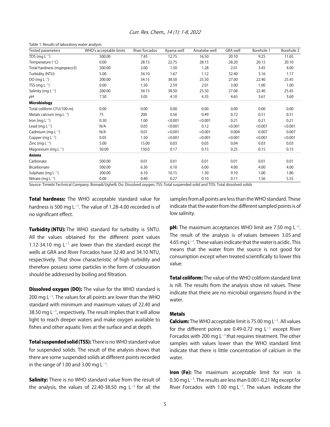| Table 1: Results of laboratory water analysis |                         |                |            |              |                 |            |            |
|-----------------------------------------------|-------------------------|----------------|------------|--------------|-----------------|------------|------------|
| Tested parameters                             | WHO's acceptable limits | River forcados | Ayama well | Amatebe well | <b>GRA</b> well | Borehole 1 | Borehole 2 |
| TDS (mg $L^{-1}$ )                            | 500.00                  | 7.45           | 12.75      | 16.50        | 20.10           | 9.25       | 11.65      |
| Temperature (°C)                              | 0.00                    | 28.15          | 22.75      | 28.15        | 28.20           | 20.15      | 20.10      |
| Total hardness (mgegeaco3)                    | 500.00                  | 2.00           | 1.50       | 1.28         | 2.01            | 3.45       | 4.00       |
| Turbidity (NTU)                               | 5.00                    | 34.10          | 1.67       | 1.12         | 32.40           | 3.16       | 1.17       |
| $DO(mq L^{-1})$                               | 200.00                  | 34.15          | 38.50      | 25.50        | 27.00           | 22.40      | 25.45      |
| TSS ( $mg L^{-1}$ )                           | 0.00                    | 1.50           | 2.59       | 2.01         | 3.00            | 1.00       | 1.00       |
| Salinity (mg $L^{-1}$ )                       | 200.00                  | 34.15          | 38.50      | 25.50        | 27.00           | 22.40      | 25.45      |
| pH                                            | 7.50                    | 3.05           | 4.10       | 4.35         | 4.65            | 3.61       | 3.60       |
| <b>Microbiology</b>                           |                         |                |            |              |                 |            |            |
| Total coliform CFU/100 mL                     | 0.00                    | 0.00           | 0.00       | 0.00         | 0.00            | 0.00       | 0.00       |
| Metals calcium (mg $L^{-1}$ )                 | 75                      | 200            | 0.56       | 0.49         | 0.72            | 0.51       | 0.51       |
| Iron (mg $L^{-1}$ )                           | 0.30                    | 1.00           | < 0.001    | < 0.001      | 0.21            | 0.21       | 0.21       |
| Lead (mg $L^{-1}$ )                           | N/A                     | 0.05           | < 0.001    | 0.12         | < 0.001         | < 0.001    | < 0.001    |
| Cadmium (mg $L^{-1}$ )                        | N/A                     | 0.01           | < 0.001    | < 0.001      | 0.004           | 0.007      | 0.007      |
| Copper (mg $L^{-1}$ )                         | 0.05                    | 1.50           | < 0.001    | < 0.001      | < 0.001         | < 0.001    | < 0.001    |
| Zinc (mg $L^{-1}$ )                           | 5.00                    | 15.00          | 0.03       | 0.05         | 0.04            | 0.03       | 0.03       |
| Magnesium (mg $L^{-1}$ )                      | 50.00                   | 150.0          | 0.17       | 0.15         | 0.25            | 0.15       | 0.15       |
| <b>Anions</b>                                 |                         |                |            |              |                 |            |            |
| Carbonate                                     | 500.00                  | 0.01           | 0.01       | 0.01         | 0.01            | 0.01       | 0.01       |
| Bicarbonate                                   | 500.00                  | 6.30           | 6.10       | 6.00         | 4.00            | 4.00       | 4.00       |
| Sulphate (mg $L^{-1}$ )                       | 200.00                  | 6.10           | 10.15      | 1.30         | 9.10            | 1.00       | 1.80       |
| Nitrate (mg $L^{-1}$ )                        | 0.00                    | 0.40           | 0.27       | 0.10         | 0.11            | 1.56       | 5.55       |

#### Curr. Res. Chem., 14 (1): 1-8, 2022

Source: Timiebi Technical Company, Bomadi/Ughelli, Do: Dissolved oxygen, TSS: Total suspended solid and TDS: Total dissolved solids

Total hardness: The WHO acceptable standard value for hardness is 500 mg  $L^{-1}$ . The value of 1.28-4.00 recorded is of no significant effect.

Turbidity (NTU): The WHO standard for turbidity is 5NTU. All the values obtained for the different point values 1.12-34.10 mg  $L^{-1}$  are lower than the standard except the wells at GRA and River Forcados have 32.40 and 34.10 NTU, respectively. That show characteristic of high turbidity and therefore possess some particles in the form of colouration should be addressed by boiling and filtration.

**Dissolved oxygen (DO):** The value for the WHO standard is 200 mg  $L^{-1}$ . The values for all points are lower than the WHO standard with minimum and maximum values of 22.40 and 38.50 mg  $L^{-1}$ , respectively. The result implies that it will allow light to reach deeper waters and make oxygen available to fishes and other aquatic lives at the surface and at depth.

Total suspended solid (TSS): There is no WHO standard value for suspended solids. The result of the analysis shows that there are some suspended solids at different points recorded in the range of 1.00 and 3.00 mg  $L^{-1}$ .

**Salinity:** There is no WHO standard value from the result of the analysis, the values of 22.40-38.50 mg  $L^{-1}$  for all the

samples from all points are less than the WHO standard. These indicate that the water from the different sampled points is of low salinity.

**pH:** The maximum acceptances WHO limit are 7.50 mg L<sup>-1</sup>. The result of the analysis is of values between 3.05 and 4.65 mg L $^{-1}$ . These values indicate that the water is acidic. This means that the water from the source is not good for consumption except when treated scientifically to lower this value.

**Total coliform:** The value of the WHO coliform standard limit is nill. The results from the analysis show nil values. These indicate that there are no microbial organisms found in the water.

#### Metals

**Calcium:** The WHO acceptable limit is 75.00 mg  $L^{-1}$ . All values for the different points are 0.49-0.72 mg  $L^{-1}$  except River Forcados with 200 mg  $L^{-1}$  that requires treatment. The other samples with values lower than the WHO standard limit indicate that there is little concentration of calcium in the water.

**Iron (Fe):** The maximum acceptable limit for iron is 0.30 mg L $^{-1}$ . The results are less than 0.001-0.21 Mg except for River Forcados with 1.00 mg  $L^{-1}$ . The values indicate the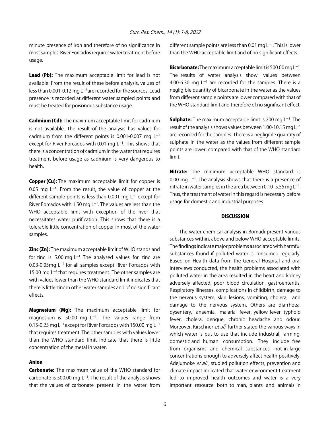minute presence of iron and therefore of no significance in most samples. River Forcados requires water treatment before usage.

Lead (Pb): The maximum acceptable limit for lead is not available. From the result of these before analysis, values of less than 0.001-0.12 mg  $L^{-1}$  are recorded for the sources. Lead presence is recorded at different water sampled points and must be treated for poisonous substance usage.

**Cadmium (Cd):** The maximum acceptable limit for cadmium is not available. The result of the analysis has values for cadmium from the different points is 0.001-0.007 mg  $L^{-1}$ except for River Forcados with 0.01 mg  $L^{-1}$ . This shows that there is a concentration of cadmium in the water that requires treatment before usage as cadmium is very dangerous to health.

**Copper (Cu):** The maximum acceptable limit for copper is 0.05 mg  $L^{-1}$ . From the result, the value of copper at the different sample points is less than 0.001 mg  $L^{-1}$  except for River Forcados with 1.50 mg  $L^{-1}$ . The values are less than the WHO acceptable limit with exception of the river that necessitates water purification. This shows that there is a tolerable little concentration of copper in most of the water samples.

**Zinc (Zn):** The maximum acceptable limit of WHO stands and for zinc is 5.00 mg  $L^{-1}$ . The analysed values for zinc are 0.03-0.05mg  $L^{-1}$  for all samples except River Forcados with 15.00 mg  $L^{-1}$  that requires treatment. The other samples are with values lower than the WHO standard limit indicates that there is little zinc in other water samples and of no significant effects.

Magnesium (Mg): The maximum acceptable limit for magnesium is 50.00 mg  $L^{-1}$ . The values range from 0.15-0.25 mg  $L^{-1}$  except for River Forcados with 150.00 mg  $L^{-1}$ that requires treatment. The other samples with values lower than the WHO standard limit indicate that there is little concentration of the metal in water.

#### Anion

**Carbonate:** The maximum value of the WHO standard for carbonate is 500.00 mg  $L^{-1}$ . The result of the analysis shows that the values of carbonate present in the water from

different sample points are less than 0.01 mg  $L^{-1}$ . This is lower than the WHO acceptable limit and of no significant effects.

**Bicarbonate:** The maximum acceptable limit is 500.00 mg L<sup>-1</sup>. The results of water analysis show values between 4.00-6.30 mg  $L^{-1}$  are recorded for the samples. There is a negligible quantity of bicarbonate in the water as the values from different sample points are lower compared with that of the WHO standard limit and therefore of no significant effect.

**Sulphate:** The maximum acceptable limit is 200 mg  $L^{-1}$ . The result of the analysis shows values between 1.00-10.15 mg  $L^{-1}$ are recorded for the samples. There is a negligible quantity of sulphate in the water as the values from different sample points are lower, compared with that of the WHO standard limit.

Nitrate: The minimum acceptable WHO standard is 0.00 mg  $L^{-1}$ . The analysis shows that there is a presence of nitrate in water samples in the area between 0.10-5.55 mg L<sup>-1</sup>. Thus, the treatment of water in this regard is necessary before usage for domestic and industrial purposes.

#### **DISCUSSION**

The water chemical analysis in Bomadi present various substances within, above and below WHO acceptable limits. The findings indicate major problems associated with harmful substances found if polluted water is consumed regularly. Based on Health data from the General Hospital and oral interviews conducted, the health problems associated with polluted water in the area resulted in the heart and kidney adversely affected, poor blood circulation, gastroenteritis, Respiratory illnesses, complications in childbirth, damage to the nervous system, skin lesions, vomiting, cholera, and damage to the nervous system. Others are diarrhoea, dysentery, anaemia, malaria fever, yellow fever, typhoid fever, cholera, dengue, chronic headache and odour. Moreover, Kirschner *et al*.<sup>7</sup> further stated the various ways in which water is put to use that include industrial, farming, domestic and human consumption. They include free from organisms and chemical substances, not in large concentrations enough to adversely affect health positively. Adejumoke *et al.*<sup>9</sup>, studied pollution effects, prevention and climate impact indicated that water environment treatment led to improved health outcomes and water is a very important resource both to man, plants and animals in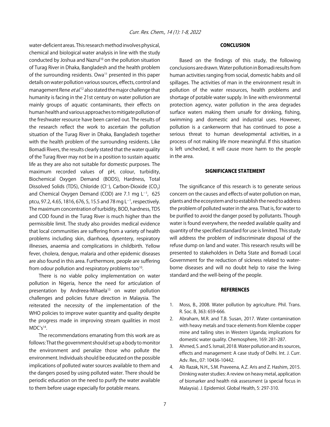water-deficient areas. This research method involves physical, chemical and biological water analysis in line with the study conducted by Joshua and Nazrul<sup>10</sup> on the pollution situation of Turag River in Dhaka, Bangladesh and the health problem of the surrounding residents. Owa<sup>11</sup> presented in this paper details on water pollution various sources, effects, control and management Rene *et al*.<sup>12</sup> also stated the major challenge that humanity is facing in the 21st century on water pollution are mainly groups of aquatic contaminants, their effects on human health and various approaches to mitigate pollution of the freshwater resource have been carried out. The results of the research reflect the work to ascertain the pollution situation of the Turag River in Dhaka, Bangladesh together with the health problem of the surrounding residents. Like Bomadi Rivers, the results clearly stated that the water quality of the Turag River may not be in a position to sustain aquatic life as they are also not suitable for domestic purposes. The maximum recorded values of pH, colour, turbidity, Biochemical Oxygen Demand (BOD5), Hardness, Total Dissolved Solids (TDS), Chloride (Cl<sup>-</sup>), Carbon-Dioxide (CO<sub>2</sub>) and Chemical Oxygen Demand (COD) are 7.1 mg  $L^{-1}$ , 625 ptcu, 97.2, 4.65, 1816, 676, 5, 15.5 and 78 mg L<sup>-1</sup>, respectively. The maximum concentration of turbidity, BOD, hardness, TDS and COD found in the Turag River is much higher than the permissible limit. The study also provides medical evidence that local communities are suffering from a variety of health problems including skin, diarrhoea, dysentery, respiratory illnesses, anaemia and complications in childbirth. Yellow fever, cholera, dengue, malaria and other epidemic diseases are also found in this area. Furthermore, people are suffering from odour pollution and respiratory problems too<sup>10</sup>.

There is no viable policy implementation on water pollution in Nigeria, hence the need for articulation of presentation by Andreea-Mihaela<sup>13</sup> on water pollution challenges and policies future direction in Malaysia. The reiterated the necessity of the implementation of the WHO policies to improve water quantity and quality despite the progress made in improving stream qualities in most MDC's14.

The recommendations emanating from this work are as follows: That the government should set up a body to monitor the environment and penalize those who pollute the environment. Individuals should be educated on the possible implications of polluted water sources available to them and the dangers posed by using polluted water. There should be periodic education on the need to purify the water available to them before usage especially for potable means.

#### CONCLUSION

Based on the findings of this study, the following conclusions are drawn. Water pollution in Bomadi results from human activities ranging from social, domestic habits and oil spillages. The activities of man in the environment result in pollution of the water resources, health problems and shortage of potable water supply. In line with environmental protection agency, water pollution in the area degrades surface waters making them unsafe for drinking, fishing, swimming and domestic and industrial uses. However, pollution is a cankerworm that has continued to pose a serious threat to human developmental activities, in a process of not making life more meaningful. If this situation is left unchecked, it will cause more harm to the people in the area.

#### SIGNIFICANCE STATEMENT

The significance of this research is to generate serious concern on the causes and effects of water pollution on man, plants and the ecosystem and to establish the need to address the problem of polluted water in the area. That is, for water to be purified to avoid the danger posed by pollutants. Though water is found everywhere, the needed available quality and quantity of the specified standard for use is limited. This study will address the problem of indiscriminate disposal of the refuse dump on land and water. This research results will be presented to stakeholders in Delta State and Bomadi Local Government for the reduction of sickness related to waterborne diseases and will no doubt help to raise the living standard and the well-being of the people.

#### **REFERENCES**

- 1. Moss, B., 2008. Water pollution by agriculture. Phil. Trans. R. Soc. B, 363: 659-666.
- 2. Abraham, M.R. and T.B. Susan, 2017. Water contamination with heavy metals and trace elements from Kilembe copper mine and tailing sites in Western Uganda; implications for domestic water quality. Chemosphere, 169: 281-287.
- 3. Ahmed, S. and S. Ismail, 2018. Water pollution and its sources, effects and management: A case study of Delhi. Int. J. Curr. Adv. Res., 07: 10436-10442.
- 4. Ab Razak, N.H., S.M. Praveena, A.Z. Aris and Z. Hashim, 2015. Drinking water studies: A review on heavy metal, application of biomarker and health risk assessment (a special focus in Malaysia). J. Epidemiol. Global Health, 5: 297-310.